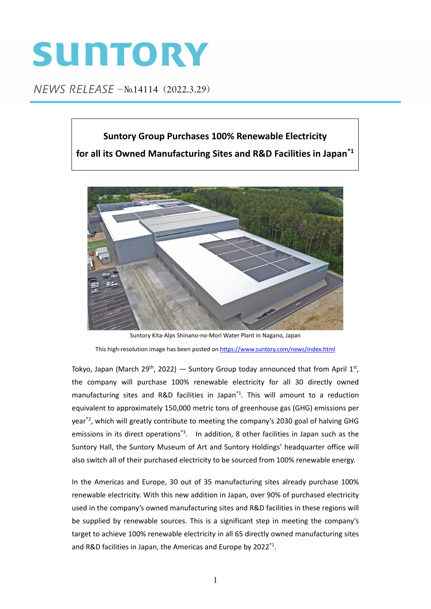## SUNTORY

NEWS RELEASE - No.14114 (2022.3.29)

## **Suntory Group Purchases 100% Renewable Electricity for all its Owned Manufacturing Sites and R&D Facilities in Japan\*1**



Suntory Kita‐Alps Shinano‐no‐Mori Water Plant in Nagano, Japan This high-resolution image has been posted on https://www.suntory.com/news/index.html

Tokyo, Japan (March 29<sup>th</sup>, 2022) — Suntory Group today announced that from April 1st, the company will purchase 100% renewable electricity for all 30 directly owned manufacturing sites and R&D facilities in Japan\*1. This will amount to a reduction equivalent to approximately 150,000 metric tons of greenhouse gas (GHG) emissions per year\*2, which will greatly contribute to meeting the company's 2030 goal of halving GHG emissions in its direct operations<sup>\*3</sup>. In addition, 8 other facilities in Japan such as the Suntory Hall, the Suntory Museum of Art and Suntory Holdings' headquarter office will also switch all of their purchased electricity to be sourced from 100% renewable energy.

In the Americas and Europe, 30 out of 35 manufacturing sites already purchase 100% renewable electricity. With this new addition in Japan, over 90% of purchased electricity used in the company's owned manufacturing sites and R&D facilities in these regions will be supplied by renewable sources. This is a significant step in meeting the company's target to achieve 100% renewable electricity in all 65 directly owned manufacturing sites and R&D facilities in Japan, the Americas and Europe by 2022\*1.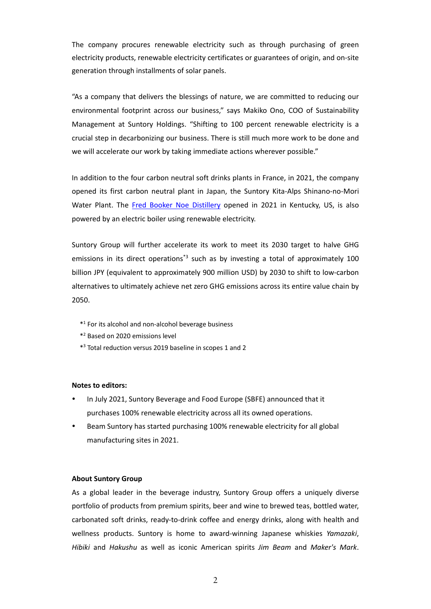The company procures renewable electricity such as through purchasing of green electricity products, renewable electricity certificates or guarantees of origin, and on‐site generation through installments of solar panels.

"As a company that delivers the blessings of nature, we are committed to reducing our environmental footprint across our business," says Makiko Ono, COO of Sustainability Management at Suntory Holdings. "Shifting to 100 percent renewable electricity is a crucial step in decarbonizing our business. There is still much more work to be done and we will accelerate our work by taking immediate actions wherever possible."

In addition to the four carbon neutral soft drinks plants in France, in 2021, the company opened its first carbon neutral plant in Japan, the Suntory Kita‐Alps Shinano‐no‐Mori Water Plant. The Fred Booker Noe [Distillery](https://www.beamsuntory.com/en/news/James-B-Beam-Unveils-New-Distillery) opened in 2021 in Kentucky, US, is also powered by an electric boiler using renewable electricity.

Suntory Group will further accelerate its work to meet its 2030 target to halve GHG emissions in its direct operations<sup>\*3</sup> such as by investing a total of approximately 100 billion JPY (equivalent to approximately 900 million USD) by 2030 to shift to low‐carbon alternatives to ultimately achieve net zero GHG emissions across its entire value chain by 2050.

- \*1 For its alcohol and non‐alcohol beverage business
- \*2 Based on 2020 emissions level
- \*3 Total reduction versus 2019 baseline in scopes 1 and 2

## **Notes to editors:**

- In July 2021, Suntory Beverage and Food Europe (SBFE) announced that it purchases 100% renewable electricity across all its owned operations.
- Beam Suntory has started purchasing 100% renewable electricity for all global manufacturing sites in 2021.

## **About Suntory Group**

As a global leader in the beverage industry, Suntory Group offers a uniquely diverse portfolio of products from premium spirits, beer and wine to brewed teas, bottled water, carbonated soft drinks, ready‐to‐drink coffee and energy drinks, along with health and wellness products. Suntory is home to award‐winning Japanese whiskies *Yamazaki*, *Hibiki* and *Hakushu* as well as iconic American spirits *Jim Beam* and *Maker's Mark*.